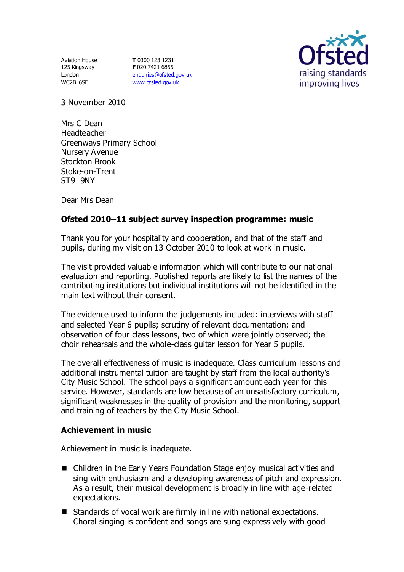Aviation House 125 Kingsway London WC2B 6SE

**T** 0300 123 1231 **F** 020 7421 6855 [enquiries@ofsted.gov.uk](mailto:enquiries@ofsted.gov.uk) [www.ofsted.gov.uk](http://www.ofsted.gov.uk/)



3 November 2010

Mrs C Dean Headteacher Greenways Primary School Nursery Avenue Stockton Brook Stoke-on-Trent ST9 9NY

Dear Mrs Dean

# **Ofsted 2010–11 subject survey inspection programme: music**

Thank you for your hospitality and cooperation, and that of the staff and pupils, during my visit on 13 October 2010 to look at work in music.

The visit provided valuable information which will contribute to our national evaluation and reporting. Published reports are likely to list the names of the contributing institutions but individual institutions will not be identified in the main text without their consent.

The evidence used to inform the judgements included: interviews with staff and selected Year 6 pupils; scrutiny of relevant documentation; and observation of four class lessons, two of which were jointly observed; the choir rehearsals and the whole-class guitar lesson for Year 5 pupils.

The overall effectiveness of music is inadequate. Class curriculum lessons and additional instrumental tuition are taught by staff from the local authority's City Music School. The school pays a significant amount each year for this service. However, standards are low because of an unsatisfactory curriculum, significant weaknesses in the quality of provision and the monitoring, support and training of teachers by the City Music School.

### **Achievement in music**

Achievement in music is inadequate.

- Children in the Early Years Foundation Stage enjoy musical activities and sing with enthusiasm and a developing awareness of pitch and expression. As a result, their musical development is broadly in line with age-related expectations.
- Standards of vocal work are firmly in line with national expectations. Choral singing is confident and songs are sung expressively with good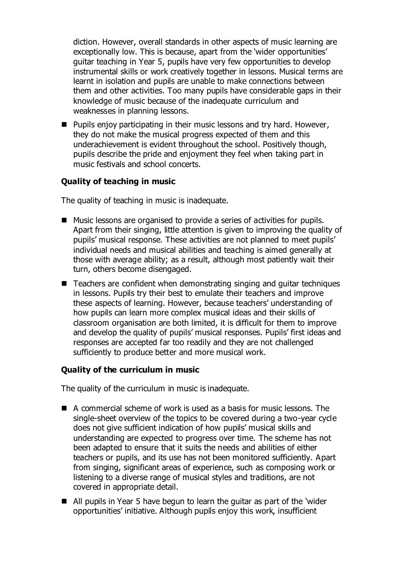diction. However, overall standards in other aspects of music learning are exceptionally low. This is because, apart from the 'wider opportunities' guitar teaching in Year 5, pupils have very few opportunities to develop instrumental skills or work creatively together in lessons. Musical terms are learnt in isolation and pupils are unable to make connections between them and other activities. Too many pupils have considerable gaps in their knowledge of music because of the inadequate curriculum and weaknesses in planning lessons.

 $\blacksquare$  Pupils enjoy participating in their music lessons and try hard. However, they do not make the musical progress expected of them and this underachievement is evident throughout the school. Positively though, pupils describe the pride and enjoyment they feel when taking part in music festivals and school concerts.

## **Quality of teaching in music**

The quality of teaching in music is inadequate.

- Music lessons are organised to provide a series of activities for pupils. Apart from their singing, little attention is given to improving the quality of pupils' musical response. These activities are not planned to meet pupils' individual needs and musical abilities and teaching is aimed generally at those with average ability; as a result, although most patiently wait their turn, others become disengaged.
- Teachers are confident when demonstrating singing and quitar techniques in lessons. Pupils try their best to emulate their teachers and improve these aspects of learning. However, because teachers' understanding of how pupils can learn more complex musical ideas and their skills of classroom organisation are both limited, it is difficult for them to improve and develop the quality of pupils' musical responses. Pupils' first ideas and responses are accepted far too readily and they are not challenged sufficiently to produce better and more musical work.

### **Quality of the curriculum in music**

The quality of the curriculum in music is inadequate.

- A commercial scheme of work is used as a basis for music lessons. The single-sheet overview of the topics to be covered during a two-year cycle does not give sufficient indication of how pupils' musical skills and understanding are expected to progress over time. The scheme has not been adapted to ensure that it suits the needs and abilities of either teachers or pupils, and its use has not been monitored sufficiently. Apart from singing, significant areas of experience, such as composing work or listening to a diverse range of musical styles and traditions, are not covered in appropriate detail.
- All pupils in Year 5 have begun to learn the guitar as part of the 'wider opportunities' initiative. Although pupils enjoy this work, insufficient